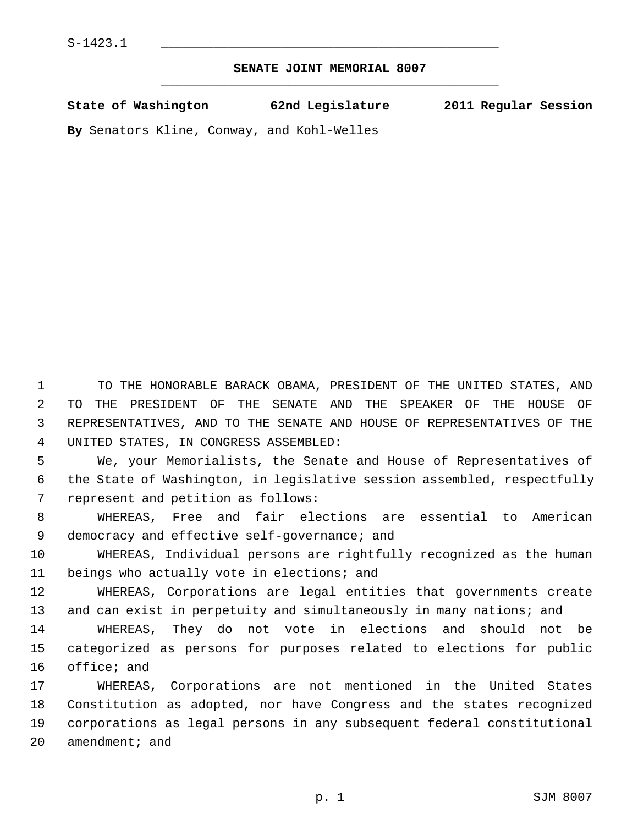## **SENATE JOINT MEMORIAL 8007** \_\_\_\_\_\_\_\_\_\_\_\_\_\_\_\_\_\_\_\_\_\_\_\_\_\_\_\_\_\_\_\_\_\_\_\_\_\_\_\_\_\_\_\_\_

| State of Washington | 62nd Legislature | 2011 Regular Session |
|---------------------|------------------|----------------------|
|                     |                  |                      |

**By** Senators Kline, Conway, and Kohl-Welles

 1 TO THE HONORABLE BARACK OBAMA, PRESIDENT OF THE UNITED STATES, AND 2 TO THE PRESIDENT OF THE SENATE AND THE SPEAKER OF THE HOUSE OF 3 REPRESENTATIVES, AND TO THE SENATE AND HOUSE OF REPRESENTATIVES OF THE 4 UNITED STATES, IN CONGRESS ASSEMBLED:

 5 We, your Memorialists, the Senate and House of Representatives of 6 the State of Washington, in legislative session assembled, respectfully 7 represent and petition as follows:

 8 WHEREAS, Free and fair elections are essential to American 9 democracy and effective self-governance; and

10 WHEREAS, Individual persons are rightfully recognized as the human 11 beings who actually vote in elections; and

12 WHEREAS, Corporations are legal entities that governments create 13 and can exist in perpetuity and simultaneously in many nations; and

14 WHEREAS, They do not vote in elections and should not be 15 categorized as persons for purposes related to elections for public 16 office; and

17 WHEREAS, Corporations are not mentioned in the United States 18 Constitution as adopted, nor have Congress and the states recognized 19 corporations as legal persons in any subsequent federal constitutional 20 amendment; and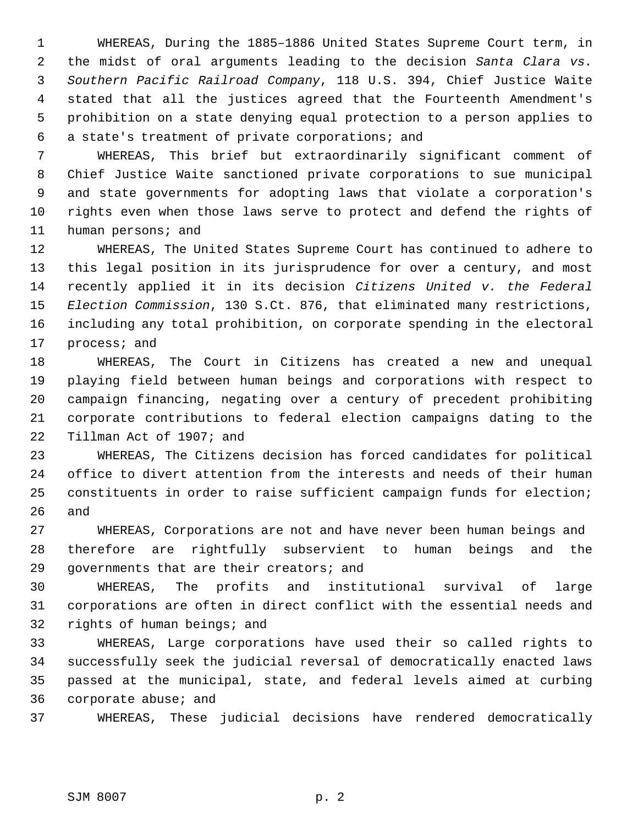1 WHEREAS, During the 1885–1886 United States Supreme Court term, in 2 the midst of oral arguments leading to the decision *Santa Clara vs.* 3 *Southern Pacific Railroad Company*, 118 U.S. 394, Chief Justice Waite 4 stated that all the justices agreed that the Fourteenth Amendment's 5 prohibition on a state denying equal protection to a person applies to 6 a state's treatment of private corporations; and

 7 WHEREAS, This brief but extraordinarily significant comment of 8 Chief Justice Waite sanctioned private corporations to sue municipal 9 and state governments for adopting laws that violate a corporation's 10 rights even when those laws serve to protect and defend the rights of 11 human persons; and

12 WHEREAS, The United States Supreme Court has continued to adhere to 13 this legal position in its jurisprudence for over a century, and most 14 recently applied it in its decision *Citizens United v. the Federal* 15 *Election Commission*, 130 S.Ct. 876, that eliminated many restrictions, 16 including any total prohibition, on corporate spending in the electoral 17 process; and

18 WHEREAS, The Court in Citizens has created a new and unequal 19 playing field between human beings and corporations with respect to 20 campaign financing, negating over a century of precedent prohibiting 21 corporate contributions to federal election campaigns dating to the 22 Tillman Act of 1907; and

23 WHEREAS, The Citizens decision has forced candidates for political 24 office to divert attention from the interests and needs of their human 25 constituents in order to raise sufficient campaign funds for election; 26 and

27 WHEREAS, Corporations are not and have never been human beings and 28 therefore are rightfully subservient to human beings and the 29 governments that are their creators; and

30 WHEREAS, The profits and institutional survival of large 31 corporations are often in direct conflict with the essential needs and 32 rights of human beings; and

33 WHEREAS, Large corporations have used their so called rights to 34 successfully seek the judicial reversal of democratically enacted laws 35 passed at the municipal, state, and federal levels aimed at curbing 36 corporate abuse; and

37 WHEREAS, These judicial decisions have rendered democratically